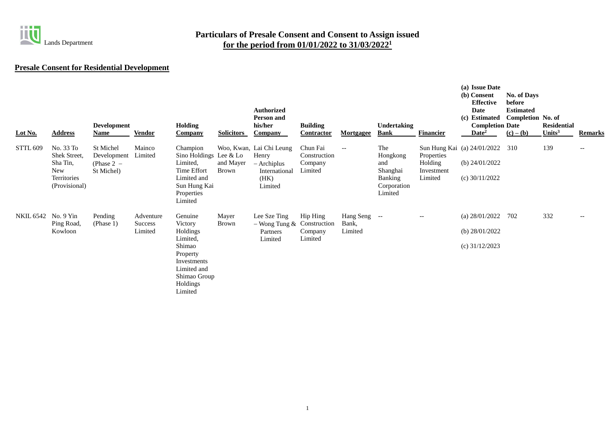

# **Presale Consent for Residential Development**

| Lot No.             | <b>Address</b>                                                                      | <b>Development</b><br>Name                             | <b>Vendor</b>                          | <b>Holding</b><br><b>Company</b>                                                                                                      | <b>Solicitors</b>         | <b>Authorized</b><br><b>Person and</b><br>his/her<br><b>Company</b>                  | <b>Building</b><br>Contractor                  | <b>Mortgagee</b>                                    | Undertaking<br><b>Bank</b>                                              | <b>Financier</b>                               | (a) Issue Date<br>(b) Consent<br><b>Effective</b><br>Date<br>(c) Estimated<br><b>Completion Date</b><br>$\mathbf{Date}^2$ | <b>No. of Days</b><br>before<br><b>Estimated</b><br>Completion No. of<br>$(c) - (b)$ | <b>Residential</b><br>Units $3$ | <b>Remarks</b>                                      |
|---------------------|-------------------------------------------------------------------------------------|--------------------------------------------------------|----------------------------------------|---------------------------------------------------------------------------------------------------------------------------------------|---------------------------|--------------------------------------------------------------------------------------|------------------------------------------------|-----------------------------------------------------|-------------------------------------------------------------------------|------------------------------------------------|---------------------------------------------------------------------------------------------------------------------------|--------------------------------------------------------------------------------------|---------------------------------|-----------------------------------------------------|
| <b>STTL 609</b>     | No. 33 To<br>Shek Street,<br>Sha Tin,<br><b>New</b><br>Territories<br>(Provisional) | St Michel<br>Development<br>(Phase $2 -$<br>St Michel) | Mainco<br>Limited                      | Champion<br>Sino Holdings Lee & Lo<br>Limited,<br>Time Effort<br>Limited and<br>Sun Hung Kai<br>Properties<br>Limited                 | and Mayer<br><b>Brown</b> | Woo, Kwan, Lai Chi Leung<br>Henry<br>– Archiplus<br>International<br>(HK)<br>Limited | Chun Fai<br>Construction<br>Company<br>Limited | $\hspace{0.05cm} -\hspace{0.05cm} -\hspace{0.05cm}$ | The<br>Hongkong<br>and<br>Shanghai<br>Banking<br>Corporation<br>Limited | Properties<br>Holding<br>Investment<br>Limited | Sun Hung Kai (a) 24/01/2022<br>(b) $24/01/2022$<br>(c) $30/11/2022$                                                       | 310                                                                                  | 139                             | $\overline{\phantom{a}}$                            |
| NKIL 6542 No. 9 Yin | Ping Road,<br>Kowloon                                                               | Pending<br>(Phase 1)                                   | Adventure<br><b>Success</b><br>Limited | Genuine<br>Victory<br>Holdings<br>Limited,<br>Shimao<br>Property<br>Investments<br>Limited and<br>Shimao Group<br>Holdings<br>Limited | Mayer<br><b>Brown</b>     | Lee Sze Ting<br>$-$ Wong Tung & Construction<br>Partners<br>Limited                  | Hip Hing<br>Company<br>Limited                 | Hang Seng --<br>Bank,<br>Limited                    |                                                                         | $-\, -$                                        | (a) $28/01/2022$<br>(b) $28/01/2022$<br>(c) $31/12/2023$                                                                  | 702                                                                                  | 332                             | $\hspace{0.05cm} -\hspace{0.05cm} -\hspace{0.05cm}$ |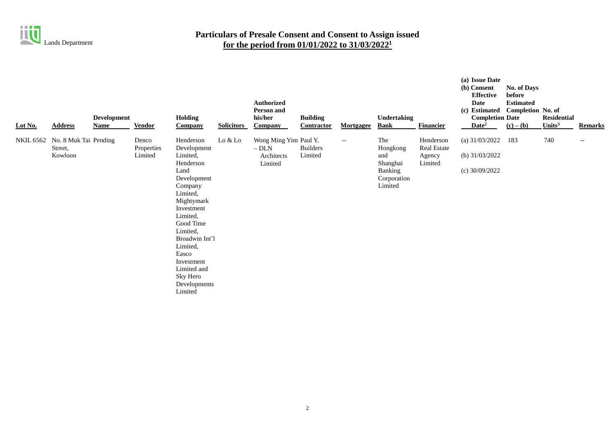

| Lot No.   | <b>Address</b>                              | <b>Development</b><br><b>Name</b> | <b>Vendor</b>                  | Holding<br><b>Company</b>                                                                                                                                                                                                                                                   | <b>Solicitors</b> | <b>Authorized</b><br><b>Person and</b><br>his/her<br>Company | <b>Building</b><br>Contractor | <b>Mortgagee</b>         | Undertaking<br><b>Bank</b>                                              | <b>Financier</b>                              | (a) Issue Date<br>(b) Consent<br><b>Effective</b><br><b>Date</b><br>(c) Estimated Completion No. of<br><b>Completion Date</b><br>Date <sup>2</sup> | No. of Days<br>before<br><b>Estimated</b><br>$(c) - (b)$ | <b>Residential</b><br>Units $3$ | <b>Remarks</b> |
|-----------|---------------------------------------------|-----------------------------------|--------------------------------|-----------------------------------------------------------------------------------------------------------------------------------------------------------------------------------------------------------------------------------------------------------------------------|-------------------|--------------------------------------------------------------|-------------------------------|--------------------------|-------------------------------------------------------------------------|-----------------------------------------------|----------------------------------------------------------------------------------------------------------------------------------------------------|----------------------------------------------------------|---------------------------------|----------------|
| NKIL 6562 | No. 8 Muk Tai Pending<br>Street,<br>Kowloon |                                   | Denco<br>Properties<br>Limited | Henderson<br>Development<br>Limited,<br>Henderson<br>Land<br>Development<br>Company<br>Limited,<br>Mightymark<br>Investment<br>Limited,<br>Good Time<br>Limited,<br>Broadwin Int'l<br>Limited,<br>Easco<br>Investment<br>Limited and<br>Sky Hero<br>Developments<br>Limited | Lo & Lo           | Wong Ming Yim Paul Y.<br>$-$ DLN<br>Architects<br>Limited    | <b>Builders</b><br>Limited    | $\overline{\phantom{a}}$ | The<br>Hongkong<br>and<br>Shanghai<br>Banking<br>Corporation<br>Limited | Henderson<br>Real Estate<br>Agency<br>Limited | (a) $31/03/2022$<br>(b) $31/03/2022$<br>(c) $30/09/2022$                                                                                           | 183                                                      | 740                             | $-\,-$         |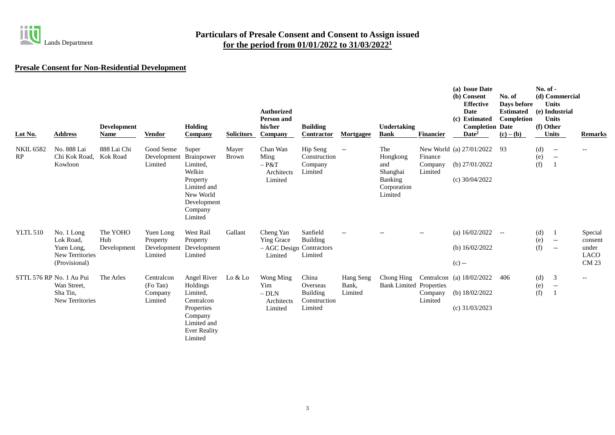

## **Presale Consent for Non-Residential Development**

| Lot No.                  | <b>Address</b>                                                                   | <b>Development</b><br>Name     | <b>Vendor</b>                                   | <b>Holding</b><br><b>Company</b>                                                                                            | <b>Solicitors</b>     | <b>Authorized</b><br><b>Person and</b><br>his/her<br>Company          | <b>Building</b><br><b>Contractor</b>                            | <b>Mortgagee</b>                                    | Undertaking<br><b>Bank</b>                                              | <b>Financier</b>              | (a) Issue Date<br>(b) Consent<br><b>Effective</b><br><b>Date</b><br>(c) Estimated<br><b>Completion Date</b><br>Date <sup>2</sup> | No. of<br>Days before<br><b>Estimated</b><br>Completion<br>$(c) - (b)$ | $No. of -$<br>(f) Other | (d) Commercial<br><b>Units</b><br>(e) Industrial<br><b>Units</b><br><b>Units</b>  | <b>Remarks</b>                                             |
|--------------------------|----------------------------------------------------------------------------------|--------------------------------|-------------------------------------------------|-----------------------------------------------------------------------------------------------------------------------------|-----------------------|-----------------------------------------------------------------------|-----------------------------------------------------------------|-----------------------------------------------------|-------------------------------------------------------------------------|-------------------------------|----------------------------------------------------------------------------------------------------------------------------------|------------------------------------------------------------------------|-------------------------|-----------------------------------------------------------------------------------|------------------------------------------------------------|
| <b>NKIL 6582</b><br>RP   | No. 888 Lai<br>Chi Kok Road,<br>Kowloon                                          | 888 Lai Chi<br>Kok Road        | Good Sense<br>Development<br>Limited            | Super<br>Brainpower<br>Limited,<br>Welkin<br>Property<br>Limited and<br>New World<br>Development<br>Company<br>Limited      | Mayer<br><b>Brown</b> | Chan Wan<br>Ming<br>$-$ P&T<br>Architects<br>Limited                  | Hip Seng<br>Construction<br>Company<br>Limited                  | $- -$                                               | The<br>Hongkong<br>and<br>Shanghai<br>Banking<br>Corporation<br>Limited | Finance<br>Company<br>Limited | New World (a) 27/01/2022<br>(b) $27/01/2022$<br>(c) $30/04/2022$                                                                 | 93                                                                     | (d)<br>(e)<br>(f)       | $\hspace{0.05cm} -\hspace{0.05cm} -\hspace{0.05cm}$<br>$- \hspace{0.1em} -$<br>-1 | $\overline{\phantom{m}}$                                   |
| <b>YLTL 510</b>          | No. 1 Long<br>Lok Road,<br>Yuen Long,<br><b>New Territories</b><br>(Provisional) | The YOHO<br>Hub<br>Development | Yuen Long<br>Property<br>Development<br>Limited | West Rail<br>Property<br>Development<br>Limited                                                                             | Gallant               | Cheng Yan<br><b>Ying Grace</b><br>- AGC Design Contractors<br>Limited | Sanfield<br><b>Building</b><br>Limited                          | $\hspace{0.05cm} -\hspace{0.05cm} -\hspace{0.05cm}$ |                                                                         | $\overline{\phantom{a}}$      | (a) $16/02/2022$<br>(b) $16/02/2022$<br>$(c) -$                                                                                  | $-$                                                                    | (d)<br>(e)<br>(f)       | -1<br>$- -$<br>$\hspace{0.05cm} -\hspace{0.05cm} -\hspace{0.05cm}$                | Special<br>consent<br>under<br><b>LACO</b><br><b>CM 23</b> |
| STTL 576 RP No. 1 Au Pui | Wan Street,<br>Sha Tin.<br>New Territories                                       | The Arles                      | Centralcon<br>(Fo Tan)<br>Company<br>Limited    | Angel River<br>Holdings<br>Limited,<br>Centralcon<br>Properties<br>Company<br>Limited and<br><b>Ever Reality</b><br>Limited | Lo & Lo               | <b>Wong Ming</b><br>Yim<br>$-$ DLN $\,$<br>Architects<br>Limited      | China<br>Overseas<br><b>Building</b><br>Construction<br>Limited | Hang Seng<br>Bank,<br>Limited                       | <b>Bank Limited Properties</b>                                          | Company<br>Limited            | Chong Hing Centralcon (a) 18/02/2022<br>(b) $18/02/2022$<br>(c) $31/03/2023$                                                     | 406                                                                    | (d)<br>(e)<br>(f)       | 3<br>$ \!-$<br>$\mathbf{1}$                                                       | $\hspace{0.05cm} -\hspace{0.05cm} -\hspace{0.05cm}$        |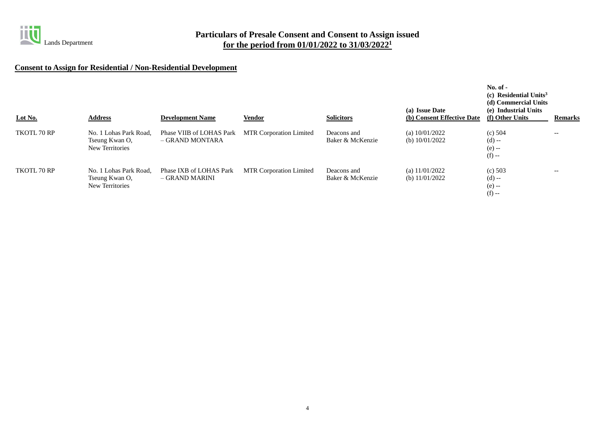

## **Consent to Assign for Residential / Non-Residential Development**

| Lot No.     | <b>Address</b>                                              | <b>Development Name</b>                     | <b>Vendor</b>                  | <b>Solicitors</b>               | (a) Issue Date<br>(b) Consent Effective Date | $No. of -$<br>(c) Residential Units <sup>3</sup><br>(d) Commercial Units<br>(e) Industrial Units<br>(f) Other Units | <b>Remarks</b> |
|-------------|-------------------------------------------------------------|---------------------------------------------|--------------------------------|---------------------------------|----------------------------------------------|---------------------------------------------------------------------------------------------------------------------|----------------|
| TKOTL 70 RP | No. 1 Lohas Park Road.<br>Tseung Kwan O,<br>New Territories | Phase VIIB of LOHAS Park<br>– GRAND MONTARA | <b>MTR Corporation Limited</b> | Deacons and<br>Baker & McKenzie | (a) $10/01/2022$<br>(b) $10/01/2022$         | (c) $504$<br>$(d) -$<br>$(e) -$<br>$(f) -$                                                                          | $- -$          |
| TKOTL 70 RP | No. 1 Lohas Park Road,<br>Tseung Kwan O,<br>New Territories | Phase IXB of LOHAS Park<br>– GRAND MARINI   | <b>MTR Corporation Limited</b> | Deacons and<br>Baker & McKenzie | (a) $11/01/2022$<br>(b) $11/01/2022$         | (c) $503$<br>$(d) -$<br>$(e) -$<br>$(f) -$                                                                          | $- -$          |